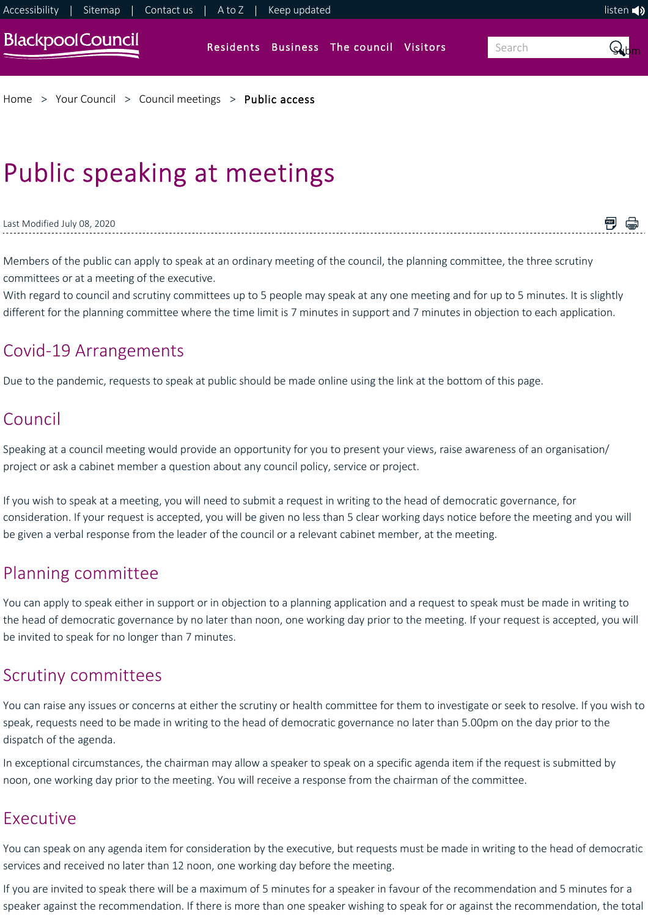

[Home](https://www.blackpool.gov.uk/Home.aspx) > [Your Council](https://www.blackpool.gov.uk/Your-Council/Your-Council.aspx) > [Council meetings](https://www.blackpool.gov.uk/Your-Council/Council-meetings/Blackpool-Council-meetings.aspx) > [Public access](https://www.blackpool.gov.uk/Your-Council/Council-meetings/Public-access/Public-Speaking-at-meetings.aspx)

# Public speaking at meetings

#### Last Modified July 08, 2020

Members of the public can apply to speak at an ordinary meeting of the council, the planning committee, the three scrutiny committees or at a meeting of the executive.

With regard to council and scrutiny committees up to 5 people may speak at any one meeting and for up to 5 minutes. It is slightly different for the planning committee where the time limit is 7 minutes in support and 7 minutes in objection to each application.

門 骨

## Covid‐19 Arrangements

Due to the pandemic, requests to speak at public should be made online using the link at the bottom of this page.

## Council

Speaking at a council meeting would provide an opportunity for you to present your views, raise awareness of an organisation/ project or ask a cabinet member a question about any council policy, service or project.

If you wish to speak at a meeting, you will need to submit a request in writing to the head of democratic governance, for consideration. If your request is accepted, you will be given no less than 5 clear working days notice before the meeting and you will be given a verbal response from the leader of the council or a relevant cabinet member, at the meeting.

## Planning committee

You can apply to speak either in support or in objection to a planning application and a request to speak must be made in writing to the head of democratic governance by no later than noon, one working day prior to the meeting. If your request is accepted, you will be invited to speak for no longer than 7 minutes.

## Scrutiny committees

You can raise any issues or concerns at either the scrutiny or health committee for them to investigate or seek to resolve. If you wish to speak, requests need to be made in writing to the head of democratic governance no later than 5.00pm on the day prior to the dispatch of the agenda.

In exceptional circumstances, the chairman may allow a speaker to speak on a specific agenda item if the request is submitted by noon, one working day prior to the meeting. You will receive a response from the chairman of the committee.

## Executive

You can speak on any agenda item for consideration by the executive, but requests must be made in writing to the head of democratic services and received no later than 12 noon, one working day before the meeting.

If you are invited to speak there will be a maximum of 5 minutes for a speaker in favour of the recommendation and 5 minutes for a speaker against the recommendation. If there is more than one speaker wishing to speak for or against the recommendation, the total